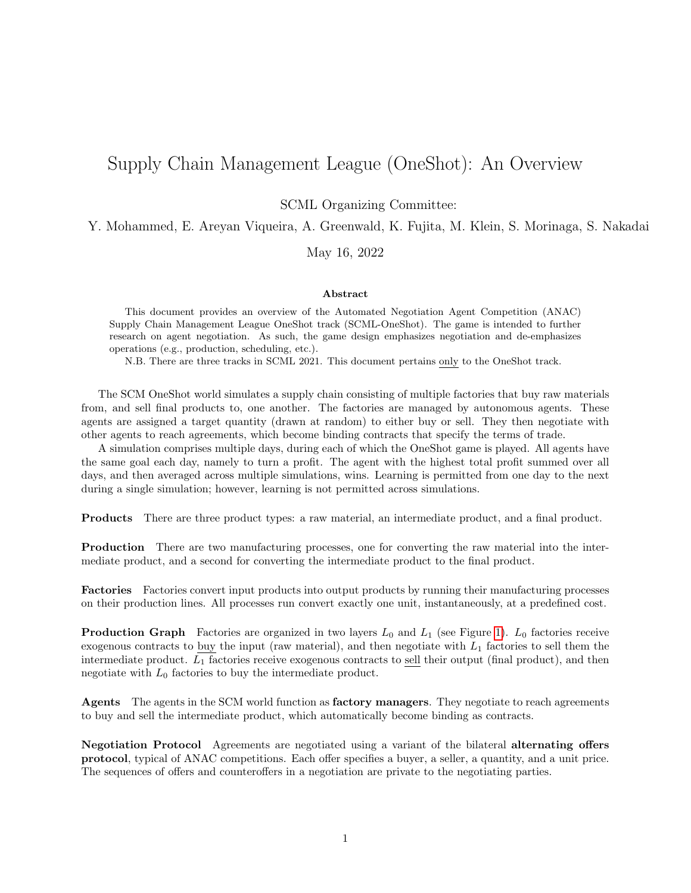## Supply Chain Management League (OneShot): An Overview

SCML Organizing Committee:

Y. Mohammed, E. Areyan Viqueira, A. Greenwald, K. Fujita, M. Klein, S. Morinaga, S. Nakadai

May 16, 2022

## Abstract

This document provides an overview of the Automated Negotiation Agent Competition (ANAC) Supply Chain Management League OneShot track (SCML-OneShot). The game is intended to further research on agent negotiation. As such, the game design emphasizes negotiation and de-emphasizes operations (e.g., production, scheduling, etc.).

N.B. There are three tracks in SCML 2021. This document pertains only to the OneShot track.

The SCM OneShot world simulates a supply chain consisting of multiple factories that buy raw materials from, and sell final products to, one another. The factories are managed by autonomous agents. These agents are assigned a target quantity (drawn at random) to either buy or sell. They then negotiate with other agents to reach agreements, which become binding contracts that specify the terms of trade.

A simulation comprises multiple days, during each of which the OneShot game is played. All agents have the same goal each day, namely to turn a profit. The agent with the highest total profit summed over all days, and then averaged across multiple simulations, wins. Learning is permitted from one day to the next during a single simulation; however, learning is not permitted across simulations.

Products There are three product types: a raw material, an intermediate product, and a final product.

Production There are two manufacturing processes, one for converting the raw material into the intermediate product, and a second for converting the intermediate product to the final product.

Factories Factories convert input products into output products by running their manufacturing processes on their production lines. All processes run convert exactly one unit, instantaneously, at a predefined cost.

**Production Graph** Factories are organized in two layers  $L_0$  and  $L_1$  (see Figure [1\)](#page-1-0).  $L_0$  factories receive exogenous contracts to buy the input (raw material), and then negotiate with  $L_1$  factories to sell them the intermediate product.  $L_1$  factories receive exogenous contracts to sell their output (final product), and then negotiate with  $L_0$  factories to buy the intermediate product.

Agents The agents in the SCM world function as **factory managers**. They negotiate to reach agreements to buy and sell the intermediate product, which automatically become binding as contracts.

Negotiation Protocol Agreements are negotiated using a variant of the bilateral alternating offers protocol, typical of ANAC competitions. Each offer specifies a buyer, a seller, a quantity, and a unit price. The sequences of offers and counteroffers in a negotiation are private to the negotiating parties.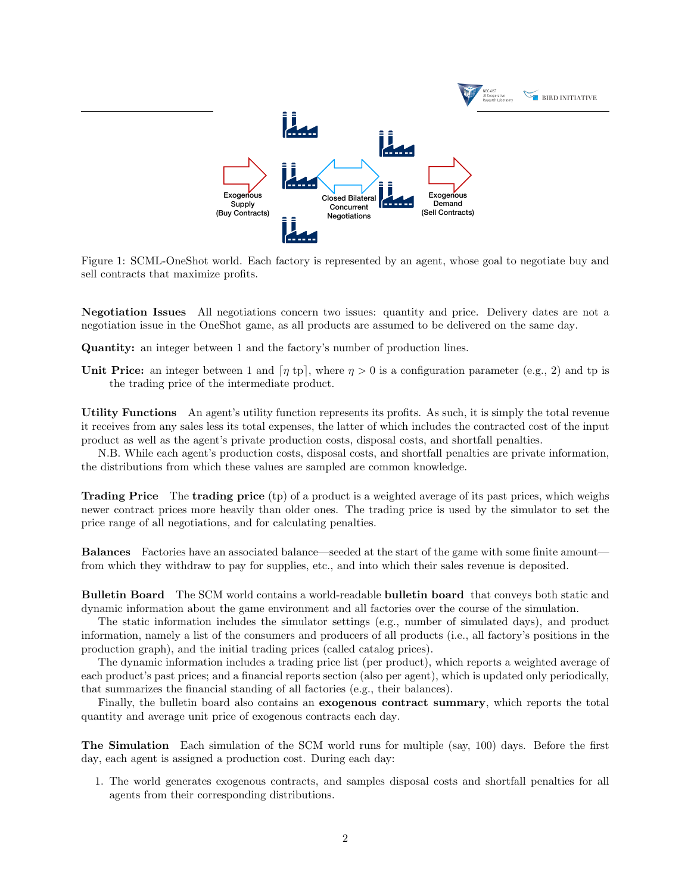<span id="page-1-0"></span>

Figure 1: SCML-OneShot world. Each factory is represented by an agent, whose goal to negotiate buy and sell contracts that maximize profits.

Negotiation Issues All negotiations concern two issues: quantity and price. Delivery dates are not a negotiation issue in the OneShot game, as all products are assumed to be delivered on the same day.

Quantity: an integer between 1 and the factory's number of production lines.

Unit Price: an integer between 1 and  $\lceil \eta \text{ tp } \rceil$ , where  $\eta > 0$  is a configuration parameter (e.g., 2) and tp is the trading price of the intermediate product.

Utility Functions An agent's utility function represents its profits. As such, it is simply the total revenue it receives from any sales less its total expenses, the latter of which includes the contracted cost of the input product as well as the agent's private production costs, disposal costs, and shortfall penalties.

N.B. While each agent's production costs, disposal costs, and shortfall penalties are private information, the distributions from which these values are sampled are common knowledge.

Trading Price The trading price (tp) of a product is a weighted average of its past prices, which weighs newer contract prices more heavily than older ones. The trading price is used by the simulator to set the price range of all negotiations, and for calculating penalties.

Balances Factories have an associated balance—seeded at the start of the game with some finite amount from which they withdraw to pay for supplies, etc., and into which their sales revenue is deposited.

Bulletin Board The SCM world contains a world-readable bulletin board that conveys both static and dynamic information about the game environment and all factories over the course of the simulation.

The static information includes the simulator settings (e.g., number of simulated days), and product information, namely a list of the consumers and producers of all products (i.e., all factory's positions in the production graph), and the initial trading prices (called catalog prices).

The dynamic information includes a trading price list (per product), which reports a weighted average of each product's past prices; and a financial reports section (also per agent), which is updated only periodically, that summarizes the financial standing of all factories (e.g., their balances).

Finally, the bulletin board also contains an **exogenous contract summary**, which reports the total quantity and average unit price of exogenous contracts each day.

The Simulation Each simulation of the SCM world runs for multiple (say, 100) days. Before the first day, each agent is assigned a production cost. During each day:

1. The world generates exogenous contracts, and samples disposal costs and shortfall penalties for all agents from their corresponding distributions.